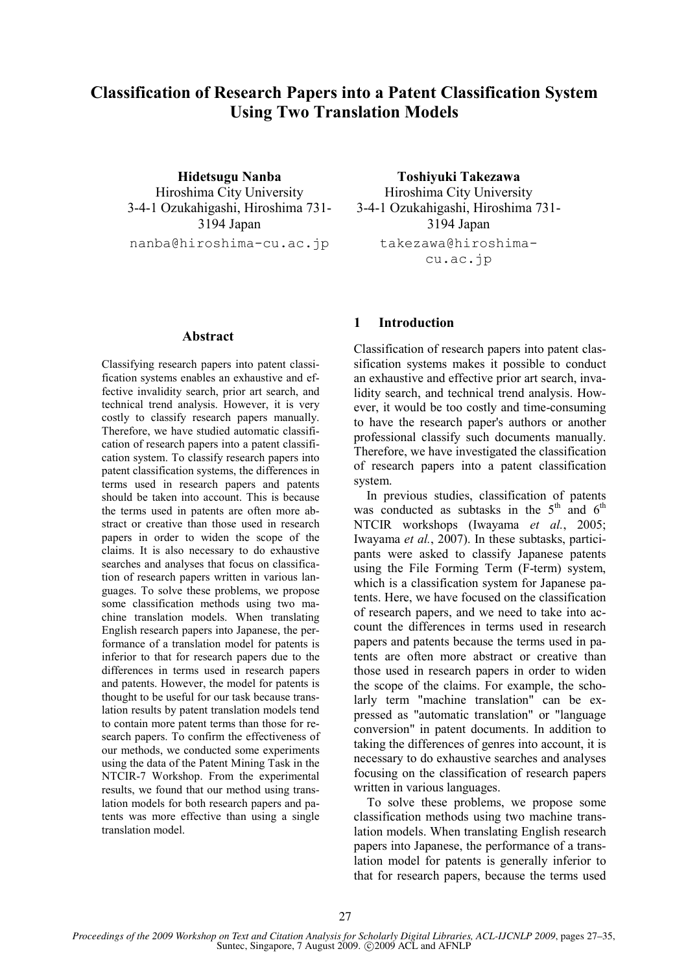# Classification of Research Papers into a Patent Classification System Using Two Translation Models

Hidetsugu Nanba Hiroshima City University 3-4-1 Ozukahigashi, Hiroshima 731- 3194 Japan

nanba@hiroshima-cu.ac.jp

#### Abstract

Classifying research papers into patent classification systems enables an exhaustive and effective invalidity search, prior art search, and technical trend analysis. However, it is very costly to classify research papers manually. Therefore, we have studied automatic classification of research papers into a patent classification system. To classify research papers into patent classification systems, the differences in terms used in research papers and patents should be taken into account. This is because the terms used in patents are often more abstract or creative than those used in research papers in order to widen the scope of the claims. It is also necessary to do exhaustive searches and analyses that focus on classification of research papers written in various languages. To solve these problems, we propose some classification methods using two machine translation models. When translating English research papers into Japanese, the performance of a translation model for patents is inferior to that for research papers due to the differences in terms used in research papers and patents. However, the model for patents is thought to be useful for our task because translation results by patent translation models tend to contain more patent terms than those for research papers. To confirm the effectiveness of our methods, we conducted some experiments using the data of the Patent Mining Task in the NTCIR-7 Workshop. From the experimental results, we found that our method using translation models for both research papers and patents was more effective than using a single translation model.

Toshiyuki Takezawa Hiroshima City University 3-4-1 Ozukahigashi, Hiroshima 731- 3194 Japan takezawa@hiroshimacu.ac.jp

### 1 Introduction

Classification of research papers into patent classification systems makes it possible to conduct an exhaustive and effective prior art search, invalidity search, and technical trend analysis. However, it would be too costly and time-consuming to have the research paper's authors or another professional classify such documents manually. Therefore, we have investigated the classification of research papers into a patent classification system.

In previous studies, classification of patents was conducted as subtasks in the  $5<sup>th</sup>$  and  $6<sup>th</sup>$ NTCIR workshops (Iwayama et al., 2005; Iwayama et al., 2007). In these subtasks, participants were asked to classify Japanese patents using the File Forming Term (F-term) system, which is a classification system for Japanese patents. Here, we have focused on the classification of research papers, and we need to take into account the differences in terms used in research papers and patents because the terms used in patents are often more abstract or creative than those used in research papers in order to widen the scope of the claims. For example, the scholarly term "machine translation" can be expressed as "automatic translation" or "language conversion" in patent documents. In addition to taking the differences of genres into account, it is necessary to do exhaustive searches and analyses focusing on the classification of research papers written in various languages.

To solve these problems, we propose some classification methods using two machine translation models. When translating English research papers into Japanese, the performance of a translation model for patents is generally inferior to that for research papers, because the terms used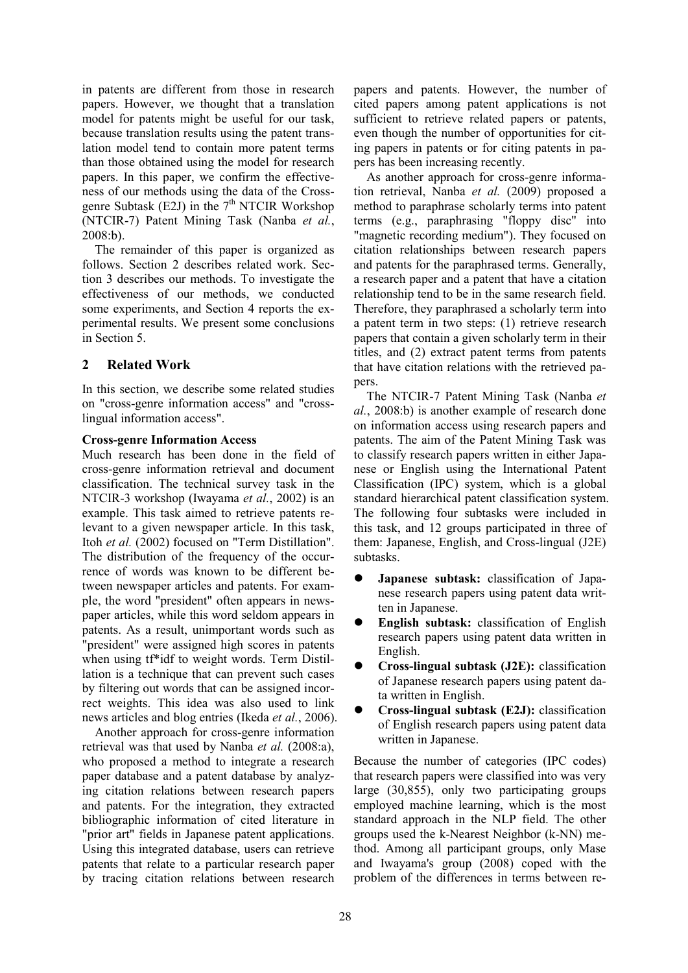in patents are different from those in research papers. However, we thought that a translation model for patents might be useful for our task, because translation results using the patent translation model tend to contain more patent terms than those obtained using the model for research papers. In this paper, we confirm the effectiveness of our methods using the data of the Crossgenre Subtask (E2J) in the  $7<sup>th</sup> NTCIR$  Workshop (NTCIR-7) Patent Mining Task (Nanba et al., 2008:b).

The remainder of this paper is organized as follows. Section 2 describes related work. Section 3 describes our methods. To investigate the effectiveness of our methods, we conducted some experiments, and Section 4 reports the experimental results. We present some conclusions in Section 5.

# 2 Related Work

In this section, we describe some related studies on "cross-genre information access" and "crosslingual information access".

### Cross-genre Information Access

Much research has been done in the field of cross-genre information retrieval and document classification. The technical survey task in the NTCIR-3 workshop (Iwayama et al., 2002) is an example. This task aimed to retrieve patents relevant to a given newspaper article. In this task, Itoh et al. (2002) focused on "Term Distillation". The distribution of the frequency of the occurrence of words was known to be different between newspaper articles and patents. For example, the word "president" often appears in newspaper articles, while this word seldom appears in patents. As a result, unimportant words such as "president" were assigned high scores in patents when using tf\*idf to weight words. Term Distillation is a technique that can prevent such cases by filtering out words that can be assigned incorrect weights. This idea was also used to link news articles and blog entries (Ikeda et al., 2006).

Another approach for cross-genre information retrieval was that used by Nanba et al. (2008:a), who proposed a method to integrate a research paper database and a patent database by analyzing citation relations between research papers and patents. For the integration, they extracted bibliographic information of cited literature in "prior art" fields in Japanese patent applications. Using this integrated database, users can retrieve patents that relate to a particular research paper by tracing citation relations between research

papers and patents. However, the number of cited papers among patent applications is not sufficient to retrieve related papers or patents, even though the number of opportunities for citing papers in patents or for citing patents in papers has been increasing recently.

As another approach for cross-genre information retrieval, Nanba et al. (2009) proposed a method to paraphrase scholarly terms into patent terms (e.g., paraphrasing "floppy disc" into "magnetic recording medium"). They focused on citation relationships between research papers and patents for the paraphrased terms. Generally, a research paper and a patent that have a citation relationship tend to be in the same research field. Therefore, they paraphrased a scholarly term into a patent term in two steps: (1) retrieve research papers that contain a given scholarly term in their titles, and (2) extract patent terms from patents that have citation relations with the retrieved papers.

The NTCIR-7 Patent Mining Task (Nanba et al., 2008:b) is another example of research done on information access using research papers and patents. The aim of the Patent Mining Task was to classify research papers written in either Japanese or English using the International Patent Classification (IPC) system, which is a global standard hierarchical patent classification system. The following four subtasks were included in this task, and 12 groups participated in three of them: Japanese, English, and Cross-lingual (J2E) subtasks.

- Japanese subtask: classification of Japanese research papers using patent data written in Japanese.
- English subtask: classification of English research papers using patent data written in English.
- Cross-lingual subtask (J2E): classification of Japanese research papers using patent data written in English.
- Cross-lingual subtask (E2J): classification of English research papers using patent data written in Japanese.

Because the number of categories (IPC codes) that research papers were classified into was very large (30,855), only two participating groups employed machine learning, which is the most standard approach in the NLP field. The other groups used the k-Nearest Neighbor (k-NN) method. Among all participant groups, only Mase and Iwayama's group (2008) coped with the problem of the differences in terms between re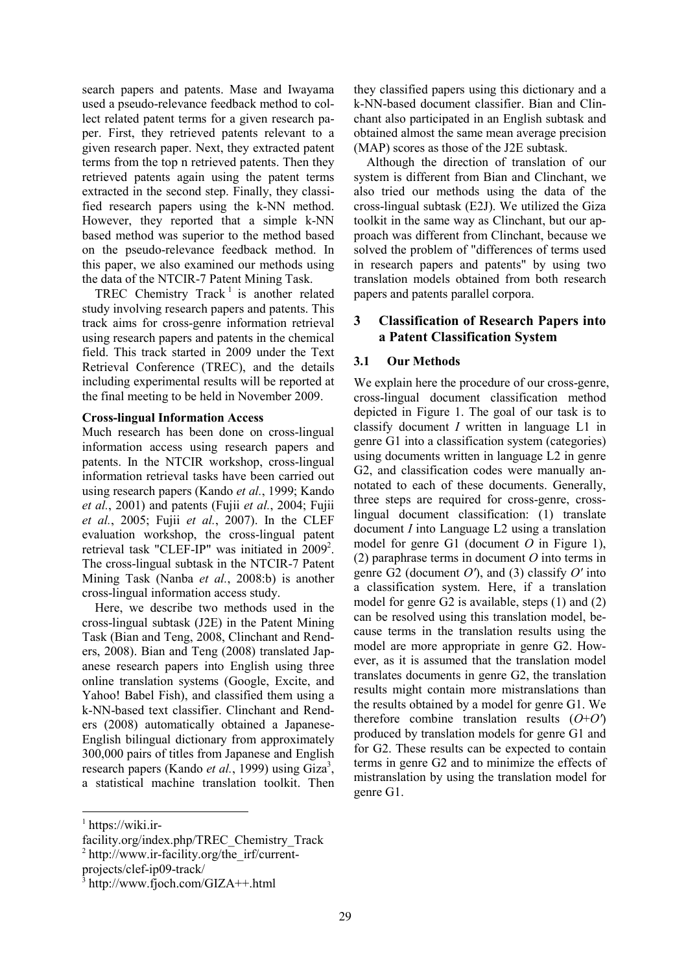search papers and patents. Mase and Iwayama used a pseudo-relevance feedback method to collect related patent terms for a given research paper. First, they retrieved patents relevant to a given research paper. Next, they extracted patent terms from the top n retrieved patents. Then they retrieved patents again using the patent terms extracted in the second step. Finally, they classified research papers using the k-NN method. However, they reported that a simple k-NN based method was superior to the method based on the pseudo-relevance feedback method. In this paper, we also examined our methods using the data of the NTCIR-7 Patent Mining Task.

TREC Chemistry Track<sup>1</sup> is another related study involving research papers and patents. This track aims for cross-genre information retrieval using research papers and patents in the chemical field. This track started in 2009 under the Text Retrieval Conference (TREC), and the details including experimental results will be reported at the final meeting to be held in November 2009.

#### Cross-lingual Information Access

Much research has been done on cross-lingual information access using research papers and patents. In the NTCIR workshop, cross-lingual information retrieval tasks have been carried out using research papers (Kando et al., 1999; Kando et al., 2001) and patents (Fujii et al., 2004; Fujii et al., 2005; Fujii et al., 2007). In the CLEF evaluation workshop, the cross-lingual patent retrieval task "CLEF-IP" was initiated in 2009<sup>2</sup>. The cross-lingual subtask in the NTCIR-7 Patent Mining Task (Nanba et al., 2008:b) is another cross-lingual information access study.

Here, we describe two methods used in the cross-lingual subtask (J2E) in the Patent Mining Task (Bian and Teng, 2008, Clinchant and Renders, 2008). Bian and Teng (2008) translated Japanese research papers into English using three online translation systems (Google, Excite, and Yahoo! Babel Fish), and classified them using a k-NN-based text classifier. Clinchant and Renders (2008) automatically obtained a Japanese-English bilingual dictionary from approximately 300,000 pairs of titles from Japanese and English research papers (Kando et al., 1999) using Giza<sup>3</sup>, a statistical machine translation toolkit. Then

they classified papers using this dictionary and a k-NN-based document classifier. Bian and Clinchant also participated in an English subtask and obtained almost the same mean average precision (MAP) scores as those of the J2E subtask.

Although the direction of translation of our system is different from Bian and Clinchant, we also tried our methods using the data of the cross-lingual subtask (E2J). We utilized the Giza toolkit in the same way as Clinchant, but our approach was different from Clinchant, because we solved the problem of "differences of terms used in research papers and patents" by using two translation models obtained from both research papers and patents parallel corpora.

### 3 Classification of Research Papers into a Patent Classification System

### 3.1 Our Methods

We explain here the procedure of our cross-genre, cross-lingual document classification method depicted in Figure 1. The goal of our task is to classify document I written in language L1 in genre G1 into a classification system (categories) using documents written in language L2 in genre G2, and classification codes were manually annotated to each of these documents. Generally, three steps are required for cross-genre, crosslingual document classification: (1) translate document I into Language L2 using a translation model for genre G1 (document  $O$  in Figure 1), (2) paraphrase terms in document  $O$  into terms in genre G2 (document  $O'$ ), and (3) classify  $O'$  into a classification system. Here, if a translation model for genre G2 is available, steps (1) and (2) can be resolved using this translation model, because terms in the translation results using the model are more appropriate in genre G2. However, as it is assumed that the translation model translates documents in genre G2, the translation results might contain more mistranslations than the results obtained by a model for genre G1. We therefore combine translation results  $(O+O')$ produced by translation models for genre G1 and for G2. These results can be expected to contain terms in genre G2 and to minimize the effects of mistranslation by using the translation model for genre G1.

 $\overline{a}$ 

<sup>1</sup> https://wiki.ir-

facility.org/index.php/TREC\_Chemistry\_Track

<sup>&</sup>lt;sup>2</sup> http://www.ir-facility.org/the\_irf/current-

projects/clef-ip09-track/

<sup>3</sup> http://www.fjoch.com/GIZA++.html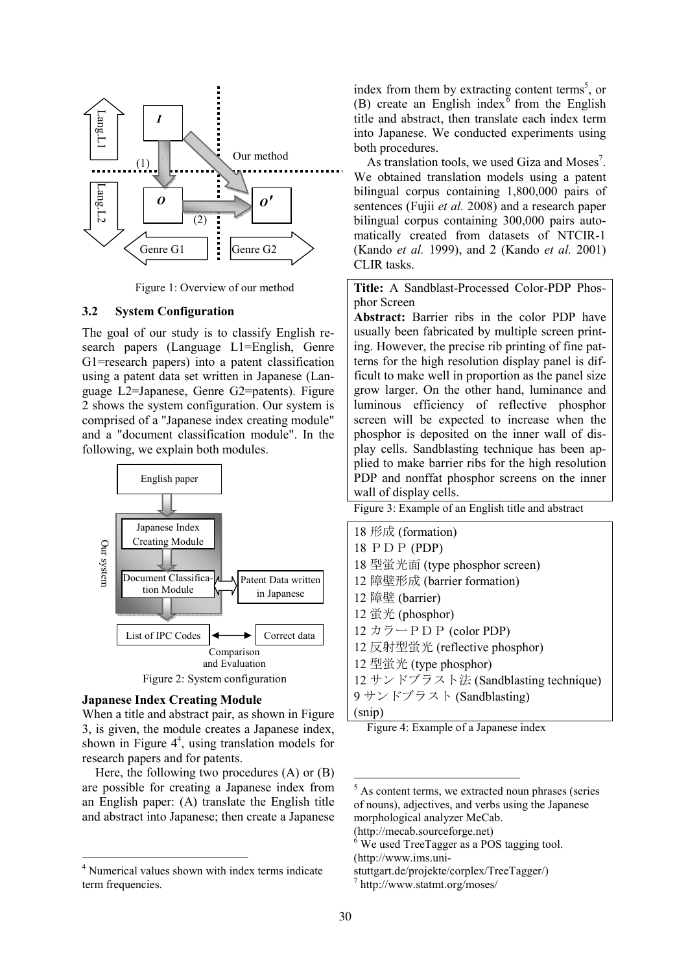

Figure 1: Overview of our method

### 3.2 System Configuration

The goal of our study is to classify English research papers (Language L1=English, Genre G1=research papers) into a patent classification using a patent data set written in Japanese (Language L2=Japanese, Genre G2=patents). Figure 2 shows the system configuration. Our system is comprised of a "Japanese index creating module" and a "document classification module". In the following, we explain both modules.



#### Japanese Index Creating Module

 $\overline{a}$ 

When a title and abstract pair, as shown in Figure 3, is given, the module creates a Japanese index, shown in Figure  $4<sup>4</sup>$ , using translation models for research papers and for patents.

Here, the following two procedures (A) or (B) are possible for creating a Japanese index from an English paper: (A) translate the English title and abstract into Japanese; then create a Japanese

index from them by extracting content terms<sup>5</sup>, or (B) create an English index<sup> $\bar{6}$ </sup> from the English title and abstract, then translate each index term into Japanese. We conducted experiments using both procedures.

As translation tools, we used Giza and Moses<sup>7</sup>. We obtained translation models using a patent bilingual corpus containing 1,800,000 pairs of sentences (Fujii *et al.* 2008) and a research paper bilingual corpus containing 300,000 pairs automatically created from datasets of NTCIR-1 (Kando et al. 1999), and 2 (Kando et al. 2001) CLIR tasks.

Title: A Sandblast-Processed Color-PDP Phosphor Screen

Abstract: Barrier ribs in the color PDP have usually been fabricated by multiple screen printing. However, the precise rib printing of fine patterns for the high resolution display panel is difficult to make well in proportion as the panel size grow larger. On the other hand, luminance and luminous efficiency of reflective phosphor screen will be expected to increase when the phosphor is deposited on the inner wall of display cells. Sandblasting technique has been applied to make barrier ribs for the high resolution PDP and nonffat phosphor screens on the inner wall of display cells.

Figure 3: Example of an English title and abstract

| 18 形成 (formation)                    |
|--------------------------------------|
| 18 P D P (PDP)                       |
| 18 型蛍光面 (type phosphor screen)       |
| 12 障壁形成 (barrier formation)          |
| 12 障壁 (barrier)                      |
| 12 蛍光 (phosphor)                     |
| 12 カラー P D P (color PDP)             |
| 12 反射型蛍光 (reflective phosphor)       |
| 12 型蛍光 (type phosphor)               |
| 12 サンドブラスト法 (Sandblasting technique) |
| 9 サンドブラスト (Sandblasting)             |
| (snip)                               |

Figure 4: Example of a Japanese index

 $\overline{a}$ 

<sup>4</sup> Numerical values shown with index terms indicate term frequencies.

 $<sup>5</sup>$  As content terms, we extracted noun phrases (series</sup> of nouns), adjectives, and verbs using the Japanese morphological analyzer MeCab.

<sup>(</sup>http://mecab.sourceforge.net)

<sup>6</sup> We used TreeTagger as a POS tagging tool. (http://www.ims.uni-

stuttgart.de/projekte/corplex/TreeTagger/) 7 http://www.statmt.org/moses/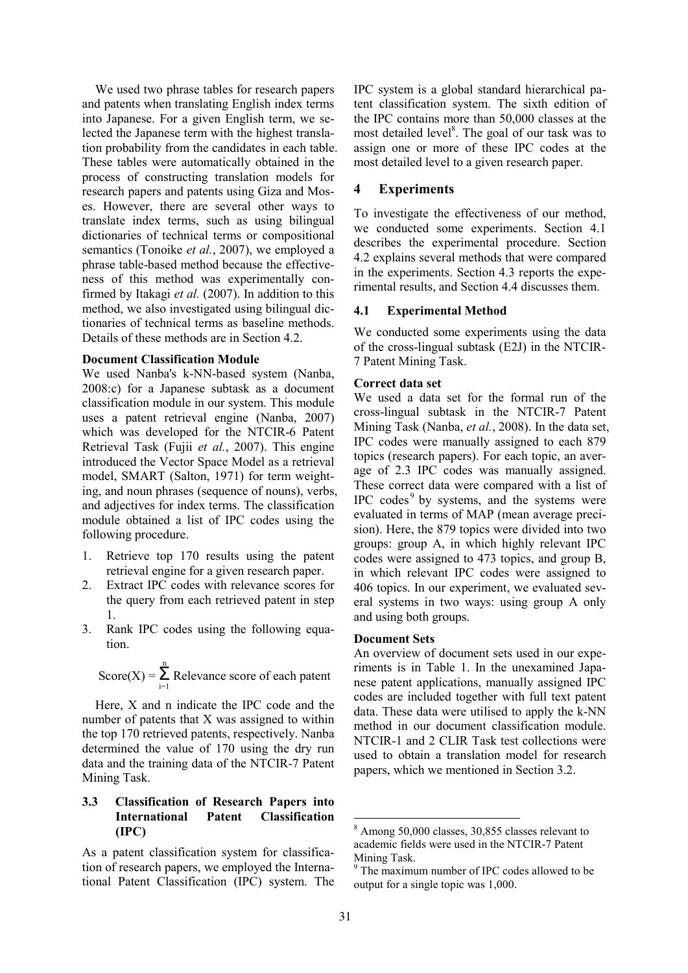We used two phrase tables for research papers and patents when translating English index terms into Japanese. For a given English term, we selected the Japanese term with the highest translation probability from the candidates in each table. These tables were automatically obtained in the process of constructing translation models for research papers and patents using Giza and Moses. However, there are several other ways to translate index terms, such as using bilingual dictionaries of technical terms or compositional semantics (Tonoike *et al.*, 2007), we employed a phrase table-based method because the effectiveness of this method was experimentally confirmed by Itakagi et al. (2007). In addition to this method, we also investigated using bilingual dictionaries of technical terms as baseline methods. Details of these methods are in Section 4.2.

#### Document Classification Module

We used Nanba's k-NN-based system (Nanba, 2008:c) for a Japanese subtask as a document classification module in our system. This module uses a patent retrieval engine (Nanba, 2007) which was developed for the NTCIR-6 Patent Retrieval Task (Fujii et al., 2007). This engine introduced the Vector Space Model as a retrieval model, SMART (Salton, 1971) for term weighting, and noun phrases (sequence of nouns), verbs, and adjectives for index terms. The classification module obtained a list of IPC codes using the following procedure.

- 1. Retrieve top 170 results using the patent retrieval engine for a given research paper.
- 2. Extract IPC codes with relevance scores for the query from each retrieved patent in step 1.
- 3. Rank IPC codes using the following equation.

Score(X) = 
$$
\sum_{i=1}^{n}
$$
 Release score of each patent

Here, X and n indicate the IPC code and the number of patents that X was assigned to within the top 170 retrieved patents, respectively. Nanba determined the value of 170 using the dry run data and the training data of the NTCIR-7 Patent Mining Task.

### 3.3 Classification of Research Papers into International Patent Classification (IPC)

As a patent classification system for classification of research papers, we employed the International Patent Classification (IPC) system. The IPC system is a global standard hierarchical patent classification system. The sixth edition of the IPC contains more than 50,000 classes at the most detailed level<sup>8</sup>. The goal of our task was to assign one or more of these IPC codes at the most detailed level to a given research paper.

#### 4 Experiments

To investigate the effectiveness of our method, we conducted some experiments. Section 4.1 describes the experimental procedure. Section 4.2 explains several methods that were compared in the experiments. Section 4.3 reports the experimental results, and Section 4.4 discusses them.

#### 4.1 Experimental Method

We conducted some experiments using the data of the cross-lingual subtask (E2J) in the NTCIR-7 Patent Mining Task.

#### Correct data set

We used a data set for the formal run of the cross-lingual subtask in the NTCIR-7 Patent Mining Task (Nanba, et al., 2008). In the data set, IPC codes were manually assigned to each 879 topics (research papers). For each topic, an average of 2.3 IPC codes was manually assigned. These correct data were compared with a list of IPC codes<sup>9</sup> by systems, and the systems were evaluated in terms of MAP (mean average precision). Here, the 879 topics were divided into two groups: group A, in which highly relevant IPC codes were assigned to 473 topics, and group B, in which relevant IPC codes were assigned to 406 topics. In our experiment, we evaluated several systems in two ways: using group A only and using both groups.

#### Document Sets

An overview of document sets used in our experiments is in Table 1. In the unexamined Japanese patent applications, manually assigned IPC codes are included together with full text patent data. These data were utilised to apply the k-NN method in our document classification module. NTCIR-1 and 2 CLIR Task test collections were used to obtain a translation model for research papers, which we mentioned in Section 3.2.

-

<sup>8</sup> Among 50,000 classes, 30,855 classes relevant to academic fields were used in the NTCIR-7 Patent Mining Task.

<sup>9</sup> The maximum number of IPC codes allowed to be output for a single topic was 1,000.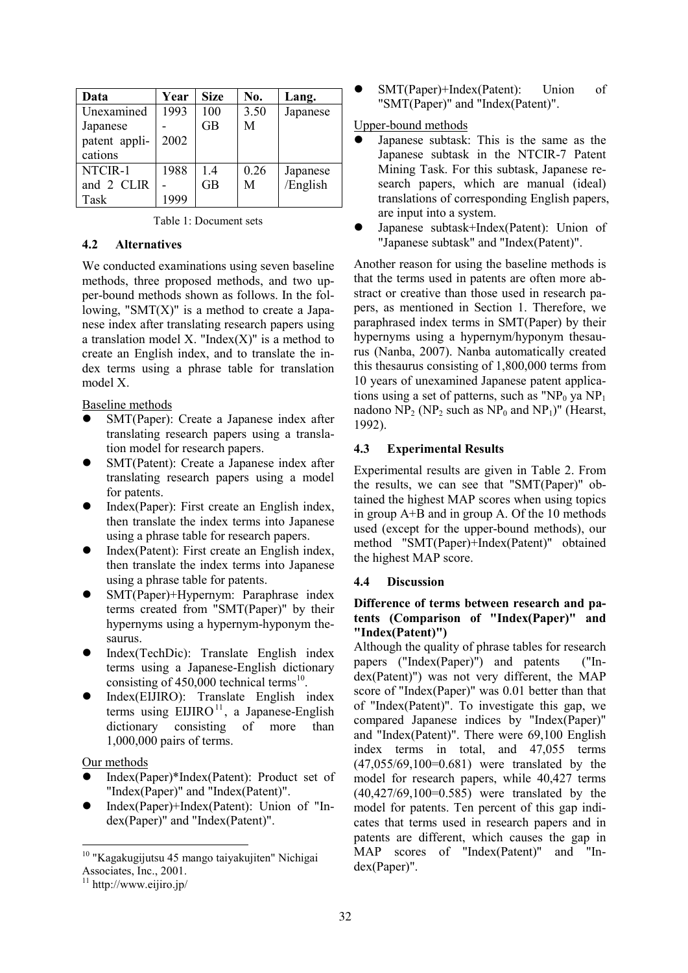| Data          | Year | <b>Size</b> | No.  | Lang.    |
|---------------|------|-------------|------|----------|
| Unexamined    | 1993 | 100         | 3.50 | Japanese |
| Japanese      |      | GB          | М    |          |
| patent appli- | 2002 |             |      |          |
| cations       |      |             |      |          |
| NTCIR-1       | 1988 | 1.4         | 0.26 | Japanese |
| and 2 CLIR    |      | GB          | М    | /English |
| Task          | 1999 |             |      |          |

|  |  | Table 1: Document sets |  |
|--|--|------------------------|--|
|--|--|------------------------|--|

### 4.2 Alternatives

We conducted examinations using seven baseline methods, three proposed methods, and two upper-bound methods shown as follows. In the following, "SMT $(X)$ " is a method to create a Japanese index after translating research papers using a translation model X. "Index $(X)$ " is a method to create an English index, and to translate the index terms using a phrase table for translation model X.

Baseline methods

- SMT(Paper): Create a Japanese index after translating research papers using a translation model for research papers.
- SMT(Patent): Create a Japanese index after translating research papers using a model for patents.
- Index(Paper): First create an English index, then translate the index terms into Japanese using a phrase table for research papers.
- Index(Patent): First create an English index, then translate the index terms into Japanese using a phrase table for patents.
- SMT(Paper)+Hypernym: Paraphrase index terms created from "SMT(Paper)" by their hypernyms using a hypernym-hyponym thesaurus.
- Index(TechDic): Translate English index terms using a Japanese-English dictionary consisting of  $450,000$  technical terms<sup>10</sup>.
- Index(EIJIRO): Translate English index terms using  $EIIIRO<sup>11</sup>$ , a Japanese-English dictionary consisting of more than 1,000,000 pairs of terms.

Our methods

 $\overline{a}$ 

- Index(Paper)\*Index(Patent): Product set of "Index(Paper)" and "Index(Patent)".
- Index(Paper)+Index(Patent): Union of "Index(Paper)" and "Index(Patent)".

 SMT(Paper)+Index(Patent): Union of "SMT(Paper)" and "Index(Patent)".

### Upper-bound methods

- Japanese subtask: This is the same as the Japanese subtask in the NTCIR-7 Patent Mining Task. For this subtask, Japanese research papers, which are manual (ideal) translations of corresponding English papers, are input into a system.
- Japanese subtask+Index(Patent): Union of "Japanese subtask" and "Index(Patent)".

Another reason for using the baseline methods is that the terms used in patents are often more abstract or creative than those used in research papers, as mentioned in Section 1. Therefore, we paraphrased index terms in SMT(Paper) by their hypernyms using a hypernym/hyponym thesaurus (Nanba, 2007). Nanba automatically created this thesaurus consisting of 1,800,000 terms from 10 years of unexamined Japanese patent applications using a set of patterns, such as " $NP_0$  ya  $NP_1$ nadono  $NP_2$  (NP<sub>2</sub> such as  $NP_0$  and NP<sub>1</sub>)" (Hearst, 1992).

### 4.3 Experimental Results

Experimental results are given in Table 2. From the results, we can see that "SMT(Paper)" obtained the highest MAP scores when using topics in group A+B and in group A. Of the 10 methods used (except for the upper-bound methods), our method "SMT(Paper)+Index(Patent)" obtained the highest MAP score.

### 4.4 Discussion

### Difference of terms between research and patents (Comparison of "Index(Paper)" and "Index(Patent)")

Although the quality of phrase tables for research papers ("Index(Paper)") and patents ("Index(Patent)") was not very different, the MAP score of "Index(Paper)" was 0.01 better than that of "Index(Patent)". To investigate this gap, we compared Japanese indices by "Index(Paper)" and "Index(Patent)". There were 69,100 English index terms in total, and 47,055 terms (47,055/69,100=0.681) were translated by the model for research papers, while 40,427 terms  $(40, 427/69, 100=0.585)$  were translated by the model for patents. Ten percent of this gap indicates that terms used in research papers and in patents are different, which causes the gap in MAP scores of "Index(Patent)" and "Index(Paper)".

<sup>&</sup>lt;sup>10</sup> "Kagakugijutsu 45 mango taiyakujiten" Nichigai Associates, Inc., 2001.

 $11$  http://www.eijiro.jp/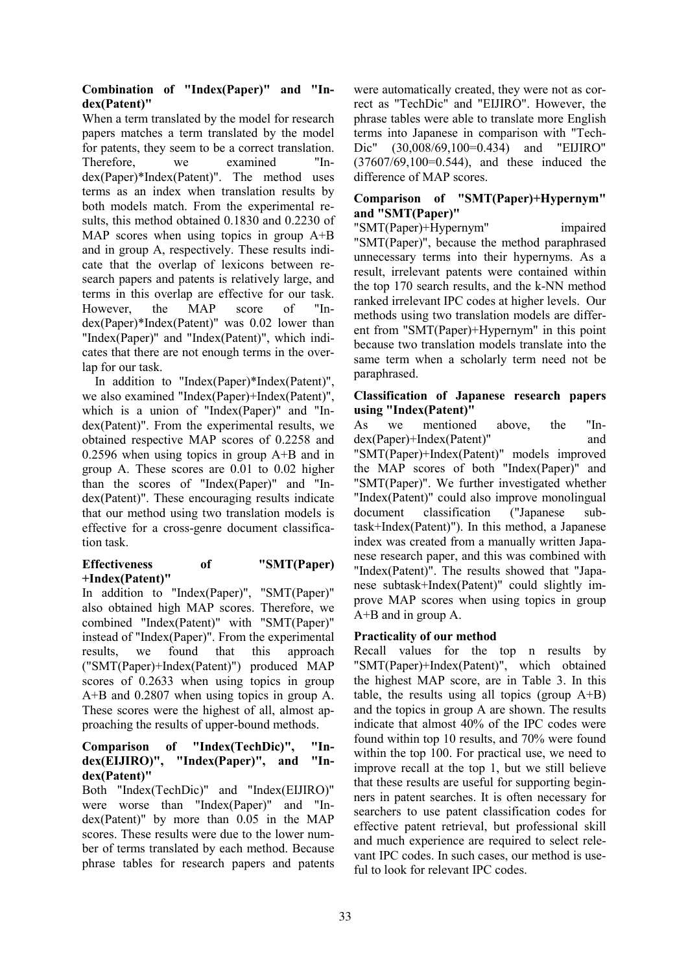# Combination of "Index(Paper)" and "Index(Patent)"

When a term translated by the model for research papers matches a term translated by the model for patents, they seem to be a correct translation. Therefore, we examined "Index(Paper)\*Index(Patent)". The method uses terms as an index when translation results by both models match. From the experimental results, this method obtained 0.1830 and 0.2230 of MAP scores when using topics in group A+B and in group A, respectively. These results indicate that the overlap of lexicons between research papers and patents is relatively large, and terms in this overlap are effective for our task. However, the MAP score of "Index(Paper)\*Index(Patent)" was 0.02 lower than "Index(Paper)" and "Index(Patent)", which indicates that there are not enough terms in the overlap for our task.

In addition to "Index(Paper)\*Index(Patent)", we also examined "Index(Paper)+Index(Patent)", which is a union of "Index(Paper)" and "Index(Patent)". From the experimental results, we obtained respective MAP scores of 0.2258 and 0.2596 when using topics in group A+B and in group A. These scores are 0.01 to 0.02 higher than the scores of "Index(Paper)" and "Index(Patent)". These encouraging results indicate that our method using two translation models is effective for a cross-genre document classification task.

#### Effectiveness of "SMT(Paper) +Index(Patent)"

In addition to "Index(Paper)", "SMT(Paper)" also obtained high MAP scores. Therefore, we combined "Index(Patent)" with "SMT(Paper)" instead of "Index(Paper)". From the experimental results, we found that this approach ("SMT(Paper)+Index(Patent)") produced MAP scores of 0.2633 when using topics in group A+B and 0.2807 when using topics in group A. These scores were the highest of all, almost approaching the results of upper-bound methods.

### Comparison of "Index(TechDic)", "Index(EIJIRO)", "Index(Paper)", and "Index(Patent)"

Both "Index(TechDic)" and "Index(EIJIRO)" were worse than "Index(Paper)" and "Index(Patent)" by more than 0.05 in the MAP scores. These results were due to the lower number of terms translated by each method. Because phrase tables for research papers and patents were automatically created, they were not as correct as "TechDic" and "EIJIRO". However, the phrase tables were able to translate more English terms into Japanese in comparison with "Tech-Dic" (30,008/69,100=0.434) and "EIJIRO" (37607/69,100=0.544), and these induced the difference of MAP scores.

# Comparison of "SMT(Paper)+Hypernym" and "SMT(Paper)"

"SMT(Paper)+Hypernym" impaired "SMT(Paper)", because the method paraphrased unnecessary terms into their hypernyms. As a result, irrelevant patents were contained within the top 170 search results, and the k-NN method ranked irrelevant IPC codes at higher levels. Our methods using two translation models are different from "SMT(Paper)+Hypernym" in this point because two translation models translate into the same term when a scholarly term need not be paraphrased.

### Classification of Japanese research papers using "Index(Patent)"

As we mentioned above, the "Index(Paper)+Index(Patent)" and "SMT(Paper)+Index(Patent)" models improved the MAP scores of both "Index(Paper)" and "SMT(Paper)". We further investigated whether "Index(Patent)" could also improve monolingual document classification ("Japanese subtask+Index(Patent)"). In this method, a Japanese index was created from a manually written Japanese research paper, and this was combined with "Index(Patent)". The results showed that "Japanese subtask+Index(Patent)" could slightly improve MAP scores when using topics in group A+B and in group A.

# Practicality of our method

Recall values for the top n results by "SMT(Paper)+Index(Patent)", which obtained the highest MAP score, are in Table 3. In this table, the results using all topics (group A+B) and the topics in group A are shown. The results indicate that almost 40% of the IPC codes were found within top 10 results, and 70% were found within the top 100. For practical use, we need to improve recall at the top 1, but we still believe that these results are useful for supporting beginners in patent searches. It is often necessary for searchers to use patent classification codes for effective patent retrieval, but professional skill and much experience are required to select relevant IPC codes. In such cases, our method is useful to look for relevant IPC codes.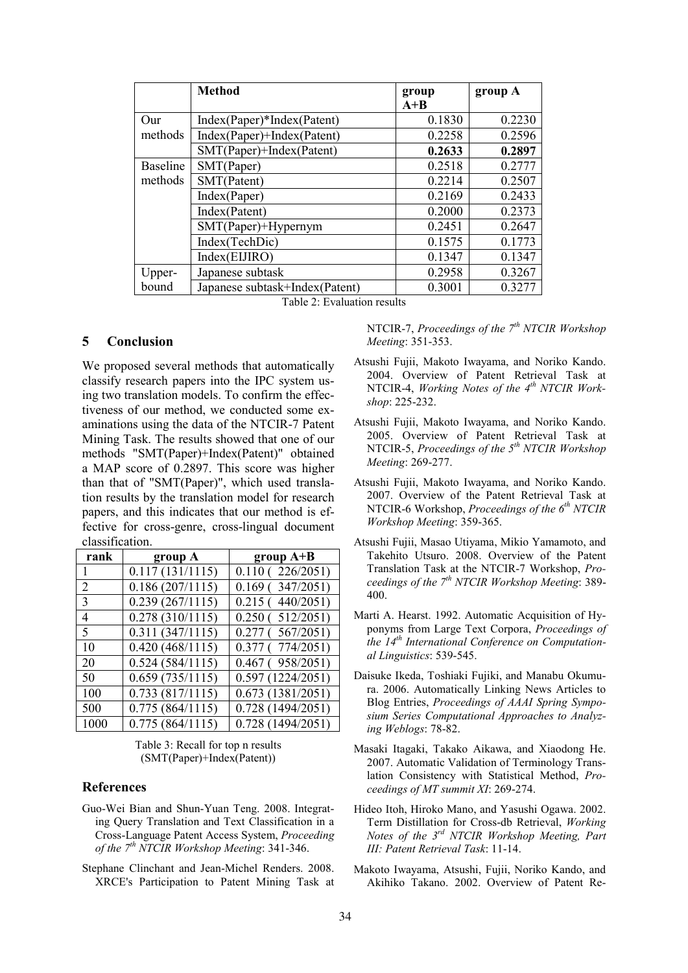|                 | <b>Method</b>                  | group<br>$A+B$ | group A |
|-----------------|--------------------------------|----------------|---------|
| Our             | Index(Paper)*Index(Patent)     | 0.1830         | 0.2230  |
| methods         | Index(Paper)+Index(Patent)     | 0.2258         | 0.2596  |
|                 | SMT(Paper)+Index(Patent)       | 0.2633         | 0.2897  |
| <b>Baseline</b> | SMT(Paper)                     | 0.2518         | 0.2777  |
| methods         | SMT(Patent)                    | 0.2214         | 0.2507  |
|                 | Index(Paper)                   | 0.2169         | 0.2433  |
|                 | Index(Patent)                  | 0.2000         | 0.2373  |
|                 | SMT(Paper)+Hypernym            | 0.2451         | 0.2647  |
|                 | Index(TechDic)                 | 0.1575         | 0.1773  |
|                 | Index(EUIRO)                   | 0.1347         | 0.1347  |
| Upper-          | Japanese subtask               | 0.2958         | 0.3267  |
| bound           | Japanese subtask+Index(Patent) | 0.3001         | 0.3277  |

Table 2: Evaluation results

#### 5 Conclusion

We proposed several methods that automatically classify research papers into the IPC system using two translation models. To confirm the effectiveness of our method, we conducted some examinations using the data of the NTCIR-7 Patent Mining Task. The results showed that one of our methods "SMT(Paper)+Index(Patent)" obtained a MAP score of 0.2897. This score was higher than that of "SMT(Paper)", which used translation results by the translation model for research papers, and this indicates that our method is effective for cross-genre, cross-lingual document classification.

| rank | group A         | group $A+B$            |
|------|-----------------|------------------------|
|      | 0.117(131/1115) | 0.110(226/2051)        |
| 2    | 0.186(207/1115) | $0.169$ (347/2051)     |
| 3    | 0.239(267/1115) | 0.215(440/2051)        |
| 4    | 0.278(310/1115) | 0.250(512/2051)        |
| 5    | 0.311(347/1115) | 0.277(567/2051)        |
| 10   | 0.420(468/1115) | $0.377$ ( $774/2051$ ) |
| 20   | 0.524(584/1115) | $0.467$ (958/2051)     |
| 50   | 0.659(735/1115) | 0.597(1224/2051)       |
| 100  | 0.733(817/1115) | 0.673(1381/2051)       |
| 500  | 0.775(864/1115) | 0.728 (1494/2051)      |
| 1000 | 0.775(864/1115) | 0.728(1494/2051)       |

Table 3: Recall for top n results (SMT(Paper)+Index(Patent))

#### References

- Guo-Wei Bian and Shun-Yuan Teng. 2008. Integrating Query Translation and Text Classification in a Cross-Language Patent Access System, Proceeding of the  $7<sup>th</sup>$  NTCIR Workshop Meeting: 341-346.
- Stephane Clinchant and Jean-Michel Renders. 2008. XRCE's Participation to Patent Mining Task at

NTCIR-7, Proceedings of the  $7<sup>th</sup> NTCIR$  Workshop Meeting: 351-353.

- Atsushi Fujii, Makoto Iwayama, and Noriko Kando. 2004. Overview of Patent Retrieval Task at NTCIR-4, Working Notes of the  $4<sup>th</sup>$  NTCIR Workshop: 225-232.
- Atsushi Fujii, Makoto Iwayama, and Noriko Kando. 2005. Overview of Patent Retrieval Task at NTCIR-5, Proceedings of the 5<sup>th</sup> NTCIR Workshop Meeting: 269-277.
- Atsushi Fujii, Makoto Iwayama, and Noriko Kando. 2007. Overview of the Patent Retrieval Task at NTCIR-6 Workshop, Proceedings of the  $6<sup>th</sup> NTCIR$ Workshop Meeting: 359-365.
- Atsushi Fujii, Masao Utiyama, Mikio Yamamoto, and Takehito Utsuro. 2008. Overview of the Patent Translation Task at the NTCIR-7 Workshop, Proceedings of the  $7<sup>th</sup> NTCIR$  Workshop Meeting: 389-400.
- Marti A. Hearst. 1992. Automatic Acquisition of Hyponyms from Large Text Corpora, Proceedings of the  $14<sup>th</sup>$  International Conference on Computational Linguistics: 539-545.
- Daisuke Ikeda, Toshiaki Fujiki, and Manabu Okumura. 2006. Automatically Linking News Articles to Blog Entries, Proceedings of AAAI Spring Symposium Series Computational Approaches to Analyzing Weblogs: 78-82.
- Masaki Itagaki, Takako Aikawa, and Xiaodong He. 2007. Automatic Validation of Terminology Translation Consistency with Statistical Method, Proceedings of MT summit XI: 269-274.
- Hideo Itoh, Hiroko Mano, and Yasushi Ogawa. 2002. Term Distillation for Cross-db Retrieval, Working Notes of the  $3^{rd}$  NTCIR Workshop Meeting, Part III: Patent Retrieval Task: 11-14.
- Makoto Iwayama, Atsushi, Fujii, Noriko Kando, and Akihiko Takano. 2002. Overview of Patent Re-